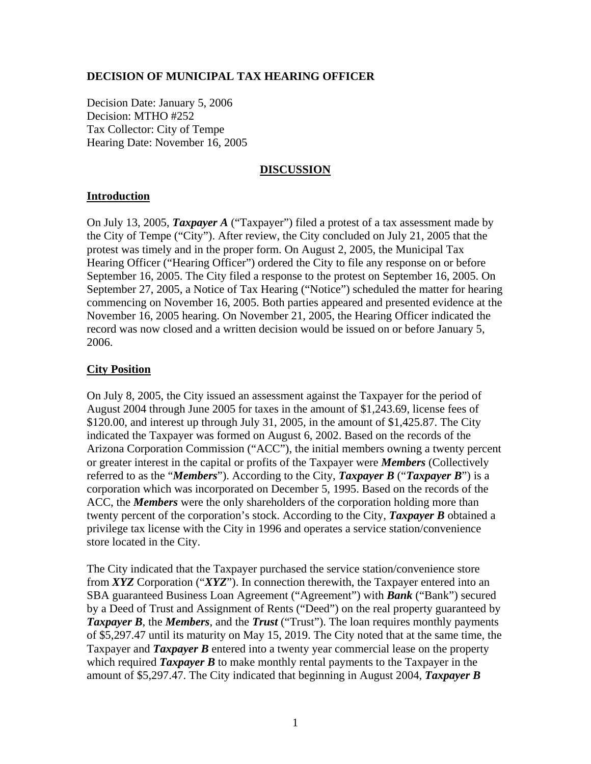## **DECISION OF MUNICIPAL TAX HEARING OFFICER**

Decision Date: January 5, 2006 Decision: MTHO #252 Tax Collector: City of Tempe Hearing Date: November 16, 2005

### **DISCUSSION**

# **Introduction**

On July 13, 2005, *Taxpayer A* ("Taxpayer") filed a protest of a tax assessment made by the City of Tempe ("City"). After review, the City concluded on July 21, 2005 that the protest was timely and in the proper form. On August 2, 2005, the Municipal Tax Hearing Officer ("Hearing Officer") ordered the City to file any response on or before September 16, 2005. The City filed a response to the protest on September 16, 2005. On September 27, 2005, a Notice of Tax Hearing ("Notice") scheduled the matter for hearing commencing on November 16, 2005. Both parties appeared and presented evidence at the November 16, 2005 hearing. On November 21, 2005, the Hearing Officer indicated the record was now closed and a written decision would be issued on or before January 5, 2006.

# **City Position**

On July 8, 2005, the City issued an assessment against the Taxpayer for the period of August 2004 through June 2005 for taxes in the amount of \$1,243.69, license fees of \$120.00, and interest up through July 31, 2005, in the amount of \$1,425.87. The City indicated the Taxpayer was formed on August 6, 2002. Based on the records of the Arizona Corporation Commission ("ACC"), the initial members owning a twenty percent or greater interest in the capital or profits of the Taxpayer were *Members* (Collectively referred to as the "*Members*"). According to the City, *Taxpayer B* ("*Taxpayer B*") is a corporation which was incorporated on December 5, 1995. Based on the records of the ACC, the *Members* were the only shareholders of the corporation holding more than twenty percent of the corporation's stock. According to the City, *Taxpayer B* obtained a privilege tax license with the City in 1996 and operates a service station/convenience store located in the City.

The City indicated that the Taxpayer purchased the service station/convenience store from *XYZ* Corporation ("*XYZ*"). In connection therewith, the Taxpayer entered into an SBA guaranteed Business Loan Agreement ("Agreement") with *Bank* ("Bank") secured by a Deed of Trust and Assignment of Rents ("Deed") on the real property guaranteed by *Taxpayer B*, the *Members*, and the *Trust* ("Trust"). The loan requires monthly payments of \$5,297.47 until its maturity on May 15, 2019. The City noted that at the same time, the Taxpayer and *Taxpayer B* entered into a twenty year commercial lease on the property which required *Taxpayer B* to make monthly rental payments to the Taxpayer in the amount of \$5,297.47. The City indicated that beginning in August 2004, *Taxpayer B*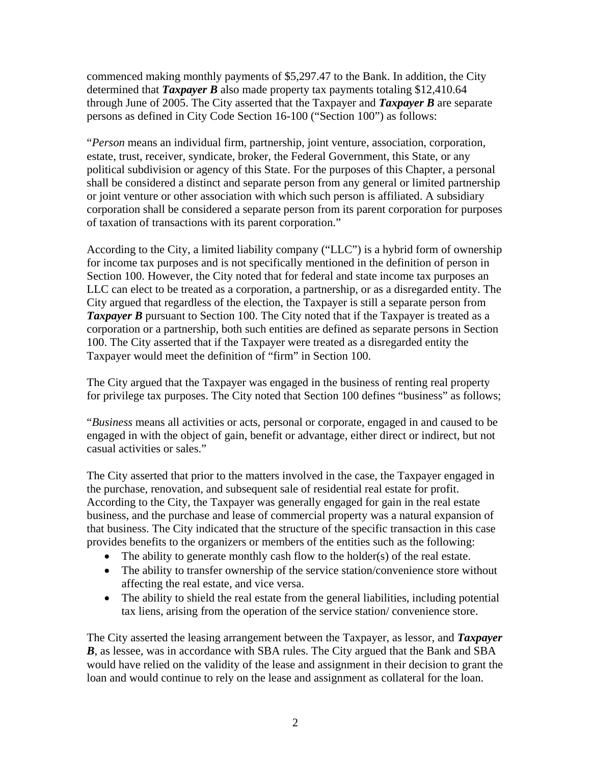commenced making monthly payments of \$5,297.47 to the Bank. In addition, the City determined that *Taxpayer B* also made property tax payments totaling \$12,410.64 through June of 2005. The City asserted that the Taxpayer and *Taxpayer B* are separate persons as defined in City Code Section 16-100 ("Section 100") as follows:

"*Person* means an individual firm, partnership, joint venture, association, corporation, estate, trust, receiver, syndicate, broker, the Federal Government, this State, or any political subdivision or agency of this State. For the purposes of this Chapter, a personal shall be considered a distinct and separate person from any general or limited partnership or joint venture or other association with which such person is affiliated. A subsidiary corporation shall be considered a separate person from its parent corporation for purposes of taxation of transactions with its parent corporation."

According to the City, a limited liability company ("LLC") is a hybrid form of ownership for income tax purposes and is not specifically mentioned in the definition of person in Section 100. However, the City noted that for federal and state income tax purposes an LLC can elect to be treated as a corporation, a partnership, or as a disregarded entity. The City argued that regardless of the election, the Taxpayer is still a separate person from **Taxpayer B** pursuant to Section 100. The City noted that if the Taxpayer is treated as a corporation or a partnership, both such entities are defined as separate persons in Section 100. The City asserted that if the Taxpayer were treated as a disregarded entity the Taxpayer would meet the definition of "firm" in Section 100.

The City argued that the Taxpayer was engaged in the business of renting real property for privilege tax purposes. The City noted that Section 100 defines "business" as follows;

"*Business* means all activities or acts, personal or corporate, engaged in and caused to be engaged in with the object of gain, benefit or advantage, either direct or indirect, but not casual activities or sales."

The City asserted that prior to the matters involved in the case, the Taxpayer engaged in the purchase, renovation, and subsequent sale of residential real estate for profit. According to the City, the Taxpayer was generally engaged for gain in the real estate business, and the purchase and lease of commercial property was a natural expansion of that business. The City indicated that the structure of the specific transaction in this case provides benefits to the organizers or members of the entities such as the following:

- The ability to generate monthly cash flow to the holder(s) of the real estate.
- The ability to transfer ownership of the service station/convenience store without affecting the real estate, and vice versa.
- The ability to shield the real estate from the general liabilities, including potential tax liens, arising from the operation of the service station/ convenience store.

The City asserted the leasing arrangement between the Taxpayer, as lessor, and *Taxpayer*  **B**, as lessee, was in accordance with SBA rules. The City argued that the Bank and SBA would have relied on the validity of the lease and assignment in their decision to grant the loan and would continue to rely on the lease and assignment as collateral for the loan.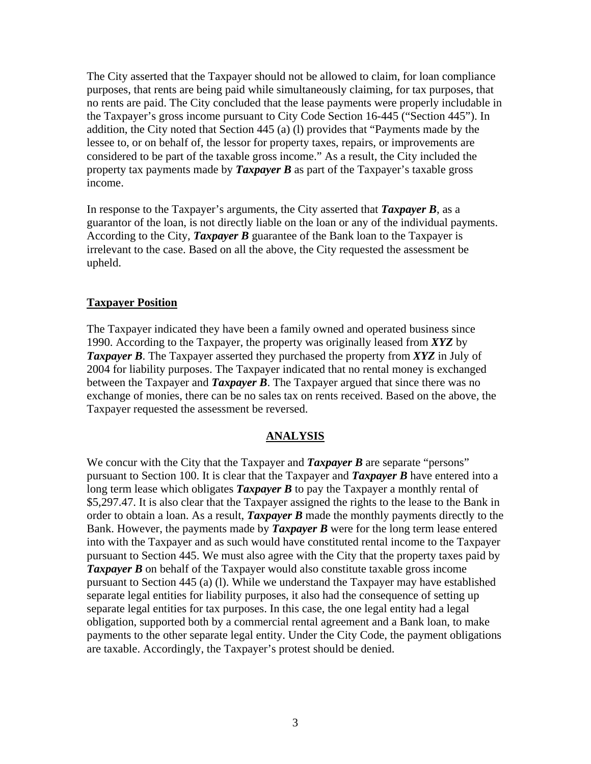The City asserted that the Taxpayer should not be allowed to claim, for loan compliance purposes, that rents are being paid while simultaneously claiming, for tax purposes, that no rents are paid. The City concluded that the lease payments were properly includable in the Taxpayer's gross income pursuant to City Code Section 16-445 ("Section 445"). In addition, the City noted that Section 445 (a) (l) provides that "Payments made by the lessee to, or on behalf of, the lessor for property taxes, repairs, or improvements are considered to be part of the taxable gross income." As a result, the City included the property tax payments made by *Taxpayer B* as part of the Taxpayer's taxable gross income.

In response to the Taxpayer's arguments, the City asserted that *Taxpayer B*, as a guarantor of the loan, is not directly liable on the loan or any of the individual payments. According to the City, *Taxpayer B* guarantee of the Bank loan to the Taxpayer is irrelevant to the case. Based on all the above, the City requested the assessment be upheld.

### **Taxpayer Position**

The Taxpayer indicated they have been a family owned and operated business since 1990. According to the Taxpayer, the property was originally leased from *XYZ* by *Taxpayer B*. The Taxpayer asserted they purchased the property from *XYZ* in July of 2004 for liability purposes. The Taxpayer indicated that no rental money is exchanged between the Taxpayer and *Taxpayer B*. The Taxpayer argued that since there was no exchange of monies, there can be no sales tax on rents received. Based on the above, the Taxpayer requested the assessment be reversed.

#### **ANALYSIS**

We concur with the City that the Taxpayer and *Taxpayer B* are separate "persons" pursuant to Section 100. It is clear that the Taxpayer and *Taxpayer B* have entered into a long term lease which obligates *Taxpayer B* to pay the Taxpayer a monthly rental of \$5,297.47. It is also clear that the Taxpayer assigned the rights to the lease to the Bank in order to obtain a loan. As a result, *Taxpayer B* made the monthly payments directly to the Bank. However, the payments made by *Taxpayer B* were for the long term lease entered into with the Taxpayer and as such would have constituted rental income to the Taxpayer pursuant to Section 445. We must also agree with the City that the property taxes paid by *Taxpayer B* on behalf of the Taxpayer would also constitute taxable gross income pursuant to Section 445 (a) (l). While we understand the Taxpayer may have established separate legal entities for liability purposes, it also had the consequence of setting up separate legal entities for tax purposes. In this case, the one legal entity had a legal obligation, supported both by a commercial rental agreement and a Bank loan, to make payments to the other separate legal entity. Under the City Code, the payment obligations are taxable. Accordingly, the Taxpayer's protest should be denied.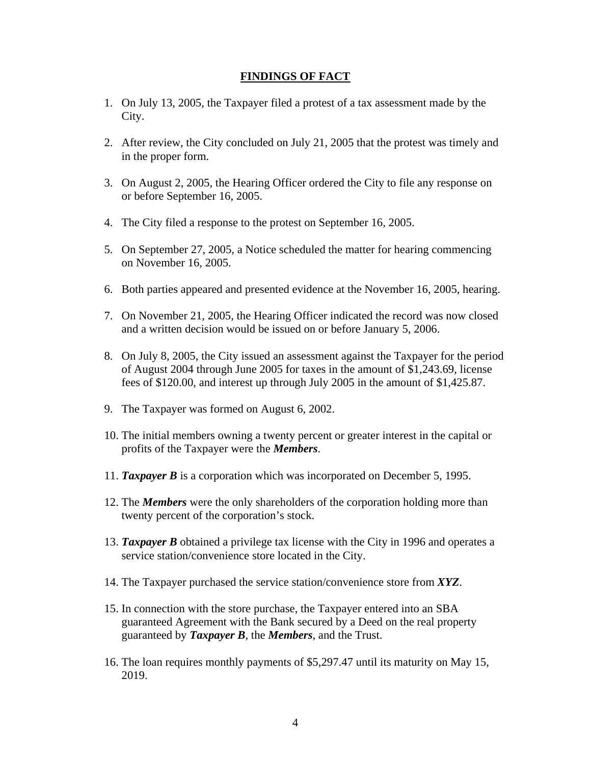### **FINDINGS OF FACT**

- 1. On July 13, 2005, the Taxpayer filed a protest of a tax assessment made by the City.
- 2. After review, the City concluded on July 21, 2005 that the protest was timely and in the proper form.
- 3. On August 2, 2005, the Hearing Officer ordered the City to file any response on or before September 16, 2005.
- 4. The City filed a response to the protest on September 16, 2005.
- 5. On September 27, 2005, a Notice scheduled the matter for hearing commencing on November 16, 2005.
- 6. Both parties appeared and presented evidence at the November 16, 2005, hearing.
- 7. On November 21, 2005, the Hearing Officer indicated the record was now closed and a written decision would be issued on or before January 5, 2006.
- 8. On July 8, 2005, the City issued an assessment against the Taxpayer for the period of August 2004 through June 2005 for taxes in the amount of \$1,243.69, license fees of \$120.00, and interest up through July 2005 in the amount of \$1,425.87.
- 9. The Taxpayer was formed on August 6, 2002.
- 10. The initial members owning a twenty percent or greater interest in the capital or profits of the Taxpayer were the *Members*.
- 11. *Taxpayer B* is a corporation which was incorporated on December 5, 1995.
- 12. The *Members* were the only shareholders of the corporation holding more than twenty percent of the corporation's stock.
- 13. *Taxpayer B* obtained a privilege tax license with the City in 1996 and operates a service station/convenience store located in the City.
- 14. The Taxpayer purchased the service station/convenience store from *XYZ*.
- 15. In connection with the store purchase, the Taxpayer entered into an SBA guaranteed Agreement with the Bank secured by a Deed on the real property guaranteed by *Taxpayer B*, the *Members*, and the Trust.
- 16. The loan requires monthly payments of \$5,297.47 until its maturity on May 15, 2019.